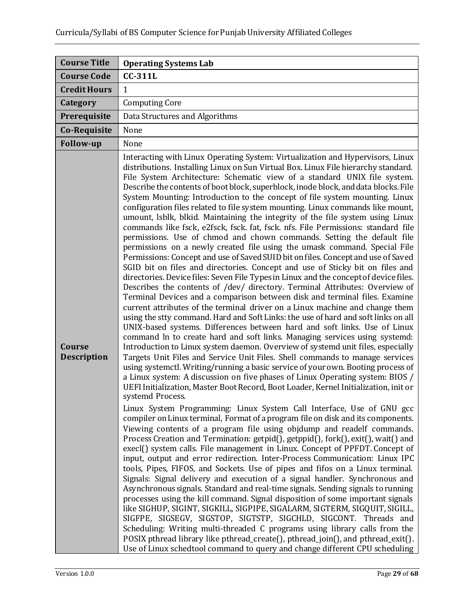| <b>Course Title</b>          | <b>Operating Systems Lab</b>                                                                                                                                                                                                                                                                                                                                                                                                                                                                                                                                                                                                                                                                                                                                                                                                                                                                                                                                                                                                                                                                                                                                                                                                                                                                                                                                                                                                                                                                                                                                                                                                                                                                                                                                                                                                                                                                                                                                                                                                                                                                                                                                                                                                                                                                                                                                                                                                                                                                                                                                                                                                                                                                                                                                                                                                                                                                                                                                                                                                                                                                                                                                                                                                                                                                 |
|------------------------------|----------------------------------------------------------------------------------------------------------------------------------------------------------------------------------------------------------------------------------------------------------------------------------------------------------------------------------------------------------------------------------------------------------------------------------------------------------------------------------------------------------------------------------------------------------------------------------------------------------------------------------------------------------------------------------------------------------------------------------------------------------------------------------------------------------------------------------------------------------------------------------------------------------------------------------------------------------------------------------------------------------------------------------------------------------------------------------------------------------------------------------------------------------------------------------------------------------------------------------------------------------------------------------------------------------------------------------------------------------------------------------------------------------------------------------------------------------------------------------------------------------------------------------------------------------------------------------------------------------------------------------------------------------------------------------------------------------------------------------------------------------------------------------------------------------------------------------------------------------------------------------------------------------------------------------------------------------------------------------------------------------------------------------------------------------------------------------------------------------------------------------------------------------------------------------------------------------------------------------------------------------------------------------------------------------------------------------------------------------------------------------------------------------------------------------------------------------------------------------------------------------------------------------------------------------------------------------------------------------------------------------------------------------------------------------------------------------------------------------------------------------------------------------------------------------------------------------------------------------------------------------------------------------------------------------------------------------------------------------------------------------------------------------------------------------------------------------------------------------------------------------------------------------------------------------------------------------------------------------------------------------------------------------------------|
| <b>Course Code</b>           | <b>CC-311L</b>                                                                                                                                                                                                                                                                                                                                                                                                                                                                                                                                                                                                                                                                                                                                                                                                                                                                                                                                                                                                                                                                                                                                                                                                                                                                                                                                                                                                                                                                                                                                                                                                                                                                                                                                                                                                                                                                                                                                                                                                                                                                                                                                                                                                                                                                                                                                                                                                                                                                                                                                                                                                                                                                                                                                                                                                                                                                                                                                                                                                                                                                                                                                                                                                                                                                               |
| <b>Credit Hours</b>          | $\mathbf{1}$                                                                                                                                                                                                                                                                                                                                                                                                                                                                                                                                                                                                                                                                                                                                                                                                                                                                                                                                                                                                                                                                                                                                                                                                                                                                                                                                                                                                                                                                                                                                                                                                                                                                                                                                                                                                                                                                                                                                                                                                                                                                                                                                                                                                                                                                                                                                                                                                                                                                                                                                                                                                                                                                                                                                                                                                                                                                                                                                                                                                                                                                                                                                                                                                                                                                                 |
| Category                     | <b>Computing Core</b>                                                                                                                                                                                                                                                                                                                                                                                                                                                                                                                                                                                                                                                                                                                                                                                                                                                                                                                                                                                                                                                                                                                                                                                                                                                                                                                                                                                                                                                                                                                                                                                                                                                                                                                                                                                                                                                                                                                                                                                                                                                                                                                                                                                                                                                                                                                                                                                                                                                                                                                                                                                                                                                                                                                                                                                                                                                                                                                                                                                                                                                                                                                                                                                                                                                                        |
| Prerequisite                 | Data Structures and Algorithms                                                                                                                                                                                                                                                                                                                                                                                                                                                                                                                                                                                                                                                                                                                                                                                                                                                                                                                                                                                                                                                                                                                                                                                                                                                                                                                                                                                                                                                                                                                                                                                                                                                                                                                                                                                                                                                                                                                                                                                                                                                                                                                                                                                                                                                                                                                                                                                                                                                                                                                                                                                                                                                                                                                                                                                                                                                                                                                                                                                                                                                                                                                                                                                                                                                               |
| Co-Requisite                 | None                                                                                                                                                                                                                                                                                                                                                                                                                                                                                                                                                                                                                                                                                                                                                                                                                                                                                                                                                                                                                                                                                                                                                                                                                                                                                                                                                                                                                                                                                                                                                                                                                                                                                                                                                                                                                                                                                                                                                                                                                                                                                                                                                                                                                                                                                                                                                                                                                                                                                                                                                                                                                                                                                                                                                                                                                                                                                                                                                                                                                                                                                                                                                                                                                                                                                         |
| <b>Follow-up</b>             | None                                                                                                                                                                                                                                                                                                                                                                                                                                                                                                                                                                                                                                                                                                                                                                                                                                                                                                                                                                                                                                                                                                                                                                                                                                                                                                                                                                                                                                                                                                                                                                                                                                                                                                                                                                                                                                                                                                                                                                                                                                                                                                                                                                                                                                                                                                                                                                                                                                                                                                                                                                                                                                                                                                                                                                                                                                                                                                                                                                                                                                                                                                                                                                                                                                                                                         |
| Course<br><b>Description</b> | Interacting with Linux Operating System: Virtualization and Hypervisors, Linux<br>distributions. Installing Linux on Sun Virtual Box. Linux File hierarchy standard.<br>File System Architecture: Schematic view of a standard UNIX file system.<br>Describe the contents of boot block, superblock, inode block, and data blocks. File<br>System Mounting: Introduction to the concept of file system mounting. Linux<br>configuration files related to file system mounting. Linux commands like mount,<br>umount, Isblk, blkid. Maintaining the integrity of the file system using Linux<br>commands like fsck, e2fsck, fsck. fat, fsck. nfs. File Permissions: standard file<br>permissions. Use of chmod and chown commands. Setting the default file<br>permissions on a newly created file using the umask command. Special File<br>Permissions: Concept and use of Saved SUID bit on files. Concept and use of Saved<br>SGID bit on files and directories. Concept and use of Sticky bit on files and<br>directories. Device files: Seven File Types in Linux and the concept of device files.<br>Describes the contents of /dev/ directory. Terminal Attributes: Overview of<br>Terminal Devices and a comparison between disk and terminal files. Examine<br>current attributes of the terminal driver on a Linux machine and change them<br>using the stty command. Hard and Soft Links: the use of hard and soft links on all<br>UNIX-based systems. Differences between hard and soft links. Use of Linux<br>command ln to create hard and soft links. Managing services using systemd:<br>Introduction to Linux system daemon. Overview of systemd unit files, especially<br>Targets Unit Files and Service Unit Files. Shell commands to manage services<br>using systemctl. Writing/running a basic service of your own. Booting process of<br>a Linux system: A discussion on five phases of Linux Operating system: BIOS /<br>UEFI Initialization, Master Boot Record, Boot Loader, Kernel Initialization, init or<br>systemd Process.<br>Linux System Programming: Linux System Call Interface, Use of GNU gcc<br>compiler on Linux terminal, Format of a program file on disk and its components.<br>Viewing contents of a program file using objdump and readelf commands.<br>Process Creation and Termination: getpid(), getppid(), fork(), exit(), wait() and<br>execl() system calls. File management in Linux. Concept of PPFDT. Concept of<br>input, output and error redirection. Inter-Process Communication: Linux IPC<br>tools, Pipes, FIFOS, and Sockets. Use of pipes and fifos on a Linux terminal.<br>Signals: Signal delivery and execution of a signal handler. Synchronous and<br>Asynchronous signals. Standard and real-time signals. Sending signals to running<br>processes using the kill command. Signal disposition of some important signals<br>like SIGHUP, SIGINT, SIGKILL, SIGPIPE, SIGALARM, SIGTERM, SIGQUIT, SIGILL,<br>SIGFPE, SIGSEGV, SIGSTOP, SIGTSTP, SIGCHLD, SIGCONT. Threads and<br>Scheduling: Writing multi-threaded C programs using library calls from the<br>POSIX pthread library like pthread_create(), pthread_join(), and pthread_exit().<br>Use of Linux schedtool command to query and change different CPU scheduling |